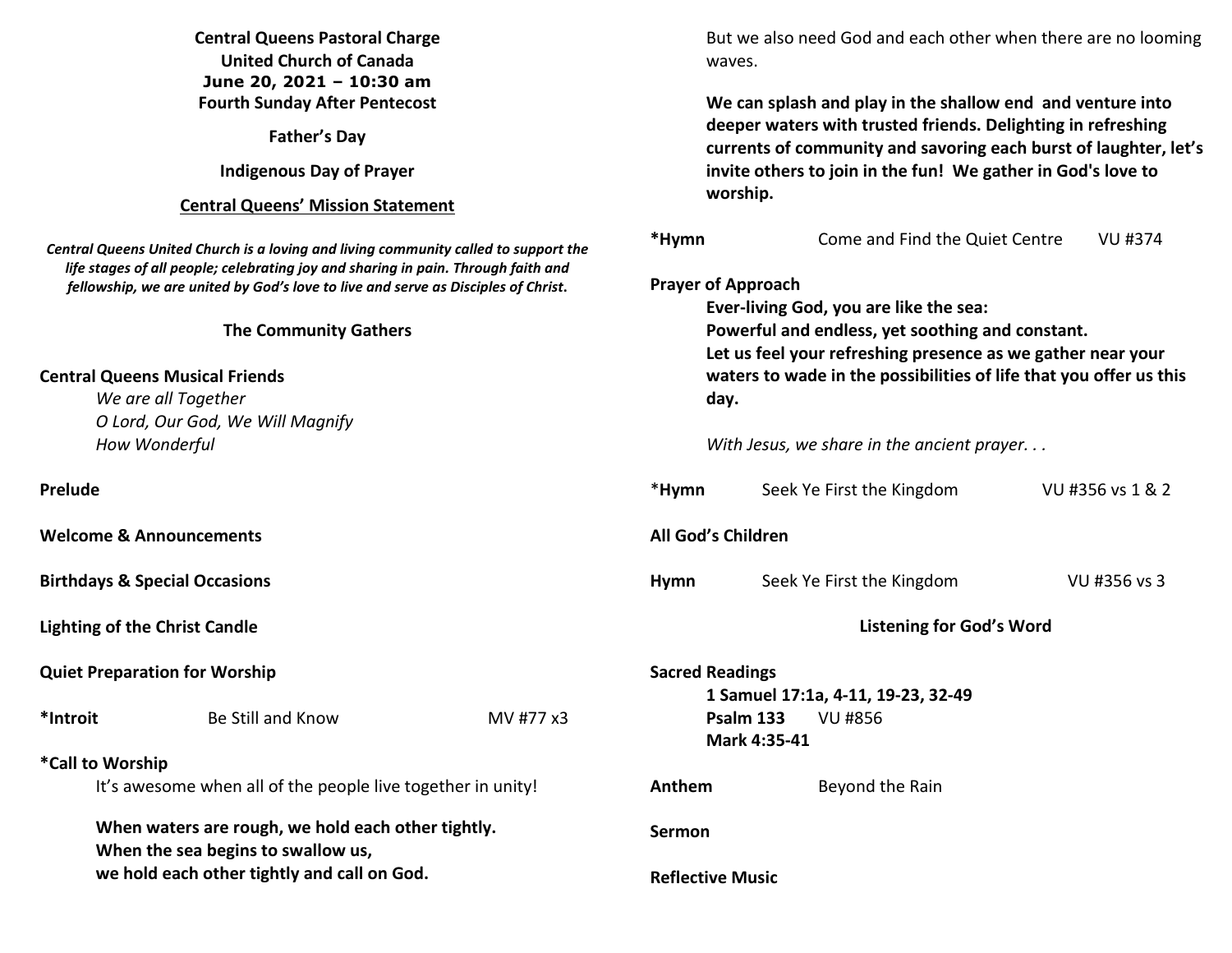| <b>Central Queens Pastoral Charge</b><br><b>United Church of Canada</b><br>June 20, 2021 - 10:30 am                                     |                                      |           | But we also need God and each other when there are no looming<br>waves.                                                                                                                                                                                                                                                                                                                                                                                                                                                                           |  |                                 |                  |                                                                                                                                                                                                                                                               |
|-----------------------------------------------------------------------------------------------------------------------------------------|--------------------------------------|-----------|---------------------------------------------------------------------------------------------------------------------------------------------------------------------------------------------------------------------------------------------------------------------------------------------------------------------------------------------------------------------------------------------------------------------------------------------------------------------------------------------------------------------------------------------------|--|---------------------------------|------------------|---------------------------------------------------------------------------------------------------------------------------------------------------------------------------------------------------------------------------------------------------------------|
|                                                                                                                                         | <b>Fourth Sunday After Pentecost</b> |           | We can splash and play in the shallow end and venture into                                                                                                                                                                                                                                                                                                                                                                                                                                                                                        |  |                                 |                  |                                                                                                                                                                                                                                                               |
| <b>Father's Day</b>                                                                                                                     |                                      |           | deeper waters with trusted friends. Delighting in refreshing<br>currents of community and savoring each burst of laughter, let's<br>invite others to join in the fun! We gather in God's love to<br>worship.<br>*Hymn<br>Come and Find the Quiet Centre<br><b>VU #374</b><br><b>Prayer of Approach</b><br>Ever-living God, you are like the sea:<br>Powerful and endless, yet soothing and constant.<br>Let us feel your refreshing presence as we gather near your<br>waters to wade in the possibilities of life that you offer us this<br>day. |  |                                 |                  |                                                                                                                                                                                                                                                               |
| <b>Indigenous Day of Prayer</b><br><b>Central Queens' Mission Statement</b>                                                             |                                      |           |                                                                                                                                                                                                                                                                                                                                                                                                                                                                                                                                                   |  |                                 |                  |                                                                                                                                                                                                                                                               |
|                                                                                                                                         |                                      |           |                                                                                                                                                                                                                                                                                                                                                                                                                                                                                                                                                   |  |                                 |                  | Central Queens United Church is a loving and living community called to support the<br>life stages of all people; celebrating joy and sharing in pain. Through faith and<br>fellowship, we are united by God's love to live and serve as Disciples of Christ. |
| <b>The Community Gathers</b>                                                                                                            |                                      |           |                                                                                                                                                                                                                                                                                                                                                                                                                                                                                                                                                   |  |                                 |                  |                                                                                                                                                                                                                                                               |
| <b>Central Queens Musical Friends</b><br>We are all Together<br>O Lord, Our God, We Will Magnify                                        |                                      |           |                                                                                                                                                                                                                                                                                                                                                                                                                                                                                                                                                   |  |                                 |                  |                                                                                                                                                                                                                                                               |
|                                                                                                                                         | How Wonderful                        |           |                                                                                                                                                                                                                                                                                                                                                                                                                                                                                                                                                   |  |                                 |                  | With Jesus, we share in the ancient prayer                                                                                                                                                                                                                    |
| Prelude                                                                                                                                 |                                      |           | *Hymn                                                                                                                                                                                                                                                                                                                                                                                                                                                                                                                                             |  | Seek Ye First the Kingdom       | VU #356 vs 1 & 2 |                                                                                                                                                                                                                                                               |
| <b>Welcome &amp; Announcements</b>                                                                                                      |                                      |           | All God's Children                                                                                                                                                                                                                                                                                                                                                                                                                                                                                                                                |  |                                 |                  |                                                                                                                                                                                                                                                               |
| <b>Birthdays &amp; Special Occasions</b>                                                                                                |                                      |           | Hymn                                                                                                                                                                                                                                                                                                                                                                                                                                                                                                                                              |  | Seek Ye First the Kingdom       | VU #356 vs 3     |                                                                                                                                                                                                                                                               |
| <b>Lighting of the Christ Candle</b>                                                                                                    |                                      |           |                                                                                                                                                                                                                                                                                                                                                                                                                                                                                                                                                   |  | <b>Listening for God's Word</b> |                  |                                                                                                                                                                                                                                                               |
| <b>Quiet Preparation for Worship</b>                                                                                                    |                                      |           | <b>Sacred Readings</b><br>1 Samuel 17:1a, 4-11, 19-23, 32-49                                                                                                                                                                                                                                                                                                                                                                                                                                                                                      |  |                                 |                  |                                                                                                                                                                                                                                                               |
| *Introit                                                                                                                                | Be Still and Know                    | MV #77 x3 | <b>Psalm 133</b> VU #856<br>Mark 4:35-41                                                                                                                                                                                                                                                                                                                                                                                                                                                                                                          |  |                                 |                  |                                                                                                                                                                                                                                                               |
| *Call to Worship                                                                                                                        |                                      |           |                                                                                                                                                                                                                                                                                                                                                                                                                                                                                                                                                   |  |                                 |                  |                                                                                                                                                                                                                                                               |
| It's awesome when all of the people live together in unity!                                                                             |                                      |           | Anthem                                                                                                                                                                                                                                                                                                                                                                                                                                                                                                                                            |  | Beyond the Rain                 |                  |                                                                                                                                                                                                                                                               |
| When waters are rough, we hold each other tightly.<br>When the sea begins to swallow us,<br>we hold each other tightly and call on God. |                                      |           | <b>Sermon</b>                                                                                                                                                                                                                                                                                                                                                                                                                                                                                                                                     |  |                                 |                  |                                                                                                                                                                                                                                                               |
|                                                                                                                                         |                                      |           | <b>Reflective Music</b>                                                                                                                                                                                                                                                                                                                                                                                                                                                                                                                           |  |                                 |                  |                                                                                                                                                                                                                                                               |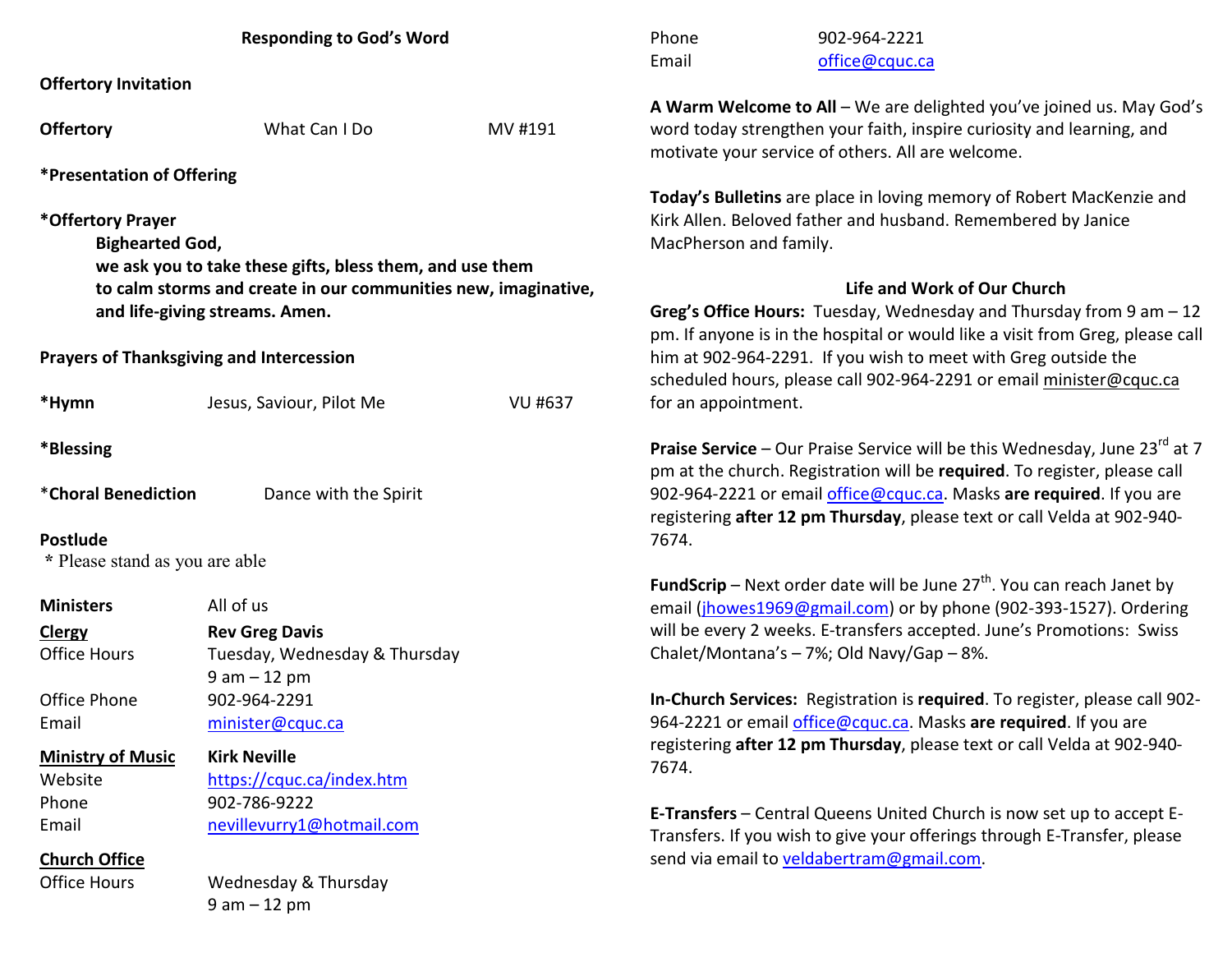| <b>Responding to God's Word</b>                 |                                                                |                | Phone<br>Email                                                                                                                                                                                     | 902-964-2221<br>office@cquc.ca                                                                                                                                       |  |  |
|-------------------------------------------------|----------------------------------------------------------------|----------------|----------------------------------------------------------------------------------------------------------------------------------------------------------------------------------------------------|----------------------------------------------------------------------------------------------------------------------------------------------------------------------|--|--|
| <b>Offertory Invitation</b>                     |                                                                |                |                                                                                                                                                                                                    |                                                                                                                                                                      |  |  |
| <b>Offertory</b>                                | What Can I Do                                                  | MV #191        | A Warm Welcome to All - We are delighted you've joined us. May God's<br>word today strengthen your faith, inspire curiosity and learning, and<br>motivate your service of others. All are welcome. |                                                                                                                                                                      |  |  |
| <i><b>*Presentation of Offering</b></i>         |                                                                |                |                                                                                                                                                                                                    |                                                                                                                                                                      |  |  |
| *Offertory Prayer<br><b>Bighearted God,</b>     | we ask you to take these gifts, bless them, and use them       |                | Today's Bulletins are place in loving memory of Robert MacKenzie and<br>Kirk Allen. Beloved father and husband. Remembered by Janice<br>MacPherson and family.                                     |                                                                                                                                                                      |  |  |
|                                                 | to calm storms and create in our communities new, imaginative, |                |                                                                                                                                                                                                    | Life and Work of Our Church                                                                                                                                          |  |  |
| and life-giving streams. Amen.                  |                                                                |                |                                                                                                                                                                                                    | Greg's Office Hours: Tuesday, Wednesday and Thursday from 9 am - 12<br>pm. If anyone is in the hospital or would like a visit from Greg, please call                 |  |  |
| <b>Prayers of Thanksgiving and Intercession</b> |                                                                |                | him at 902-964-2291. If you wish to meet with Greg outside the<br>scheduled hours, please call 902-964-2291 or email minister@cquc.ca                                                              |                                                                                                                                                                      |  |  |
| *Hymn                                           | Jesus, Saviour, Pilot Me                                       | <b>VU #637</b> | for an appointment.                                                                                                                                                                                |                                                                                                                                                                      |  |  |
| *Blessing                                       |                                                                |                |                                                                                                                                                                                                    | <b>Praise Service</b> – Our Praise Service will be this Wednesday, June 23 $^{rd}$ at 7<br>pm at the church. Registration will be required. To register, please call |  |  |
| *Choral Benediction<br><b>Postlude</b>          | Dance with the Spirit                                          |                | 7674.                                                                                                                                                                                              | 902-964-2221 or email office@cquc.ca. Masks are required. If you are<br>registering after 12 pm Thursday, please text or call Velda at 902-940-                      |  |  |
| * Please stand as you are able                  |                                                                |                |                                                                                                                                                                                                    |                                                                                                                                                                      |  |  |
|                                                 |                                                                |                |                                                                                                                                                                                                    | <b>FundScrip</b> – Next order date will be June $27th$ . You can reach Janet by                                                                                      |  |  |
| <b>Ministers</b>                                | All of us                                                      |                |                                                                                                                                                                                                    | email (jhowes1969@gmail.com) or by phone (902-393-1527). Ordering                                                                                                    |  |  |
| <b>Clergy</b>                                   | <b>Rev Greg Davis</b>                                          |                |                                                                                                                                                                                                    | will be every 2 weeks. E-transfers accepted. June's Promotions: Swiss                                                                                                |  |  |
| <b>Office Hours</b>                             | Tuesday, Wednesday & Thursday<br>$9 am - 12 pm$                |                |                                                                                                                                                                                                    | Chalet/Montana's - 7%; Old Navy/Gap - 8%.                                                                                                                            |  |  |
| Office Phone                                    | 902-964-2291                                                   |                |                                                                                                                                                                                                    | In-Church Services: Registration is required. To register, please call 902-                                                                                          |  |  |
| Email                                           | minister@cquc.ca                                               |                |                                                                                                                                                                                                    | 964-2221 or email office@cquc.ca. Masks are required. If you are                                                                                                     |  |  |
| <b>Kirk Neville</b><br><b>Ministry of Music</b> |                                                                |                |                                                                                                                                                                                                    | registering after 12 pm Thursday, please text or call Velda at 902-940-                                                                                              |  |  |
| Website                                         | https://cquc.ca/index.htm                                      |                | 7674.                                                                                                                                                                                              |                                                                                                                                                                      |  |  |
| Phone                                           | 902-786-9222                                                   |                |                                                                                                                                                                                                    |                                                                                                                                                                      |  |  |
| Email                                           | nevillevurry1@hotmail.com                                      |                |                                                                                                                                                                                                    | E-Transfers - Central Queens United Church is now set up to accept E-<br>Transfers. If you wish to give your offerings through E-Transfer, please                    |  |  |
| <b>Church Office</b>                            |                                                                |                |                                                                                                                                                                                                    | send via email to veldabertram@gmail.com.                                                                                                                            |  |  |
| <b>Office Hours</b>                             | Wednesday & Thursday                                           |                |                                                                                                                                                                                                    |                                                                                                                                                                      |  |  |
|                                                 | $9 am - 12 pm$                                                 |                |                                                                                                                                                                                                    |                                                                                                                                                                      |  |  |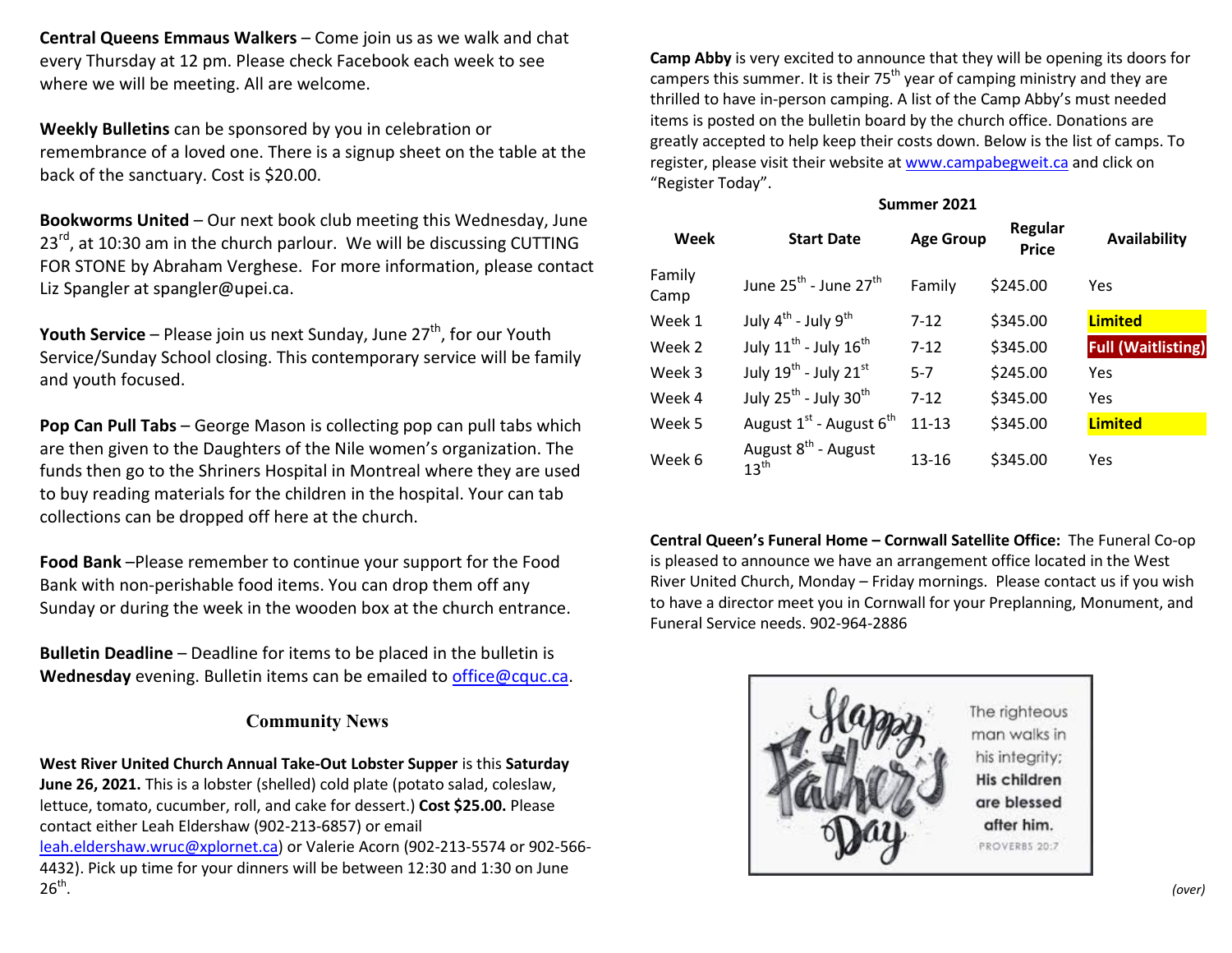**Central Queens Emmaus Walkers** – Come join us as we walk and chat every Thursday at 12 pm. Please check Facebook each week to see where we will be meeting. All are welcome.

**Weekly Bulletins** can be sponsored by you in celebration or remembrance of a loved one. There is a signup sheet on the table at the back of the sanctuary. Cost is \$20.00.

**Bookworms United** – Our next book club meeting this Wednesday, June 23<sup>rd</sup>, at 10:30 am in the church parlour. We will be discussing CUTTING FOR STONE by Abraham Verghese. For more information, please contact Liz Spangler at spangler@upei.ca.

**Youth Service** – Please join us next Sunday, June 27<sup>th</sup>, for our Youth Service/Sunday School closing. This contemporary service will be family and youth focused.

**Pop Can Pull Tabs** – George Mason is collecting pop can pull tabs which are then given to the Daughters of the Nile women's organization. The funds then go to the Shriners Hospital in Montreal where they are used to buy reading materials for the children in the hospital. Your can tab collections can be dropped off here at the church.

**Food Bank** –Please remember to continue your support for the Food Bank with non-perishable food items. You can drop them off any Sunday or during the week in the wooden box at the church entrance.

**Bulletin Deadline** – Deadline for items to be placed in the bulletin is **Wednesday** evening. Bulletin items can be emailed to office@cquc.ca.

## **Community News**

**West River United Church Annual Take-Out Lobster Supper** is this **Saturday June 26, 2021.** This is a lobster (shelled) cold plate (potato salad, coleslaw, lettuce, tomato, cucumber, roll, and cake for dessert.) **Cost \$25.00.** Please contact either Leah Eldershaw (902-213-6857) or email leah.eldershaw.wruc@xplornet.ca) or Valerie Acorn (902-213-5574 or 902-566-4432). Pick up time for your dinners will be between 12:30 and 1:30 on June  $26<sup>th</sup>$ .

**Camp Abby** is very excited to announce that they will be opening its doors for campers this summer. It is their  $75<sup>th</sup>$  year of camping ministry and they are thrilled to have in-person camping. A list of the Camp Abby's must needed items is posted on the bulletin board by the church office. Donations are greatly accepted to help keep their costs down. Below is the list of camps. To register, please visit their website at www.campabegweit.ca and click on "Register Today".

## **Summer 2021**

| <b>Week</b>    | <b>Start Date</b>                                   | <b>Age Group</b> | Regular<br><b>Price</b> | <b>Availability</b>       |
|----------------|-----------------------------------------------------|------------------|-------------------------|---------------------------|
| Family<br>Camp | June $25^{\text{th}}$ - June $27^{\text{th}}$       | Family           | \$245.00                | Yes                       |
| Week 1         | July $4^{th}$ - July $9^{th}$                       | $7 - 12$         | \$345.00                | <b>Limited</b>            |
| Week 2         | July $11^{\text{th}}$ - July $16^{\text{th}}$       | $7 - 12$         | \$345.00                | <b>Full (Waitlisting)</b> |
| Week 3         | July $19^{th}$ - July $21^{st}$                     | $5 - 7$          | \$245.00                | Yes                       |
| Week 4         | July $25^{th}$ - July $30^{th}$                     | $7 - 12$         | \$345.00                | Yes                       |
| Week 5         | August $1^{st}$ - August $6^{th}$                   | $11 - 13$        | \$345.00                | <b>Limited</b>            |
| Week 6         | August 8 <sup>th</sup> - August<br>$13^{\text{th}}$ | $13 - 16$        | \$345.00                | Yes                       |

**Central Queen's Funeral Home – Cornwall Satellite Office:** The Funeral Co-op is pleased to announce we have an arrangement office located in the West River United Church, Monday – Friday mornings. Please contact us if you wish to have a director meet you in Cornwall for your Preplanning, Monument, and Funeral Service needs. 902-964-2886